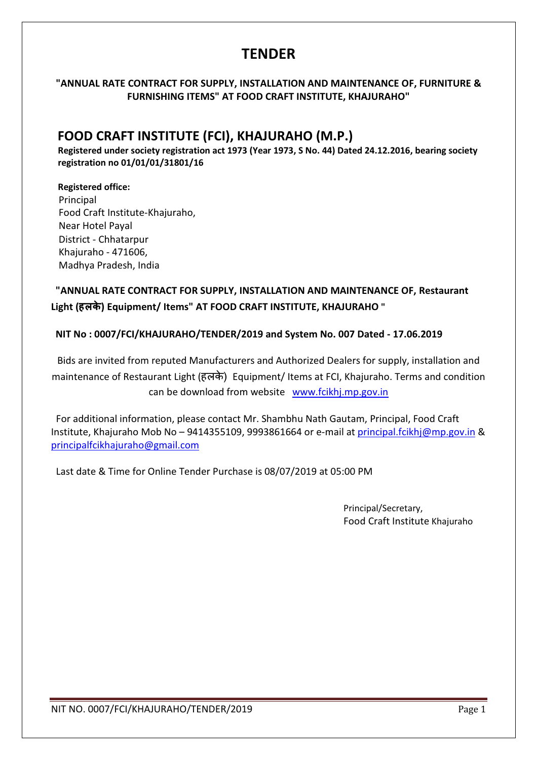### **TENDER**

### "ANNUAL RATE CONTRACT FOR SUPPLY, INSTALLATION AND MAINTENANCE OF, FURNITURE & FURNISHING ITEMS" AT FOOD CRAFT INSTITUTE, KHAJURAHO"

### FOOD CRAFT INSTITUTE (FCI), KHAJURAHO (M.P.)

 Registered under society registration act 1973 (Year 1973, S No. 44) Dated 24.12.2016, bearing society registration no 01/01/01/31801/16

 Registered office: Principal Food Craft Institute-Khajuraho, Near Hotel Payal District - Chhatarpur Khajuraho - 471606, Madhya Pradesh, India

### "ANNUAL RATE CONTRACT FOR SUPPLY, INSTALLATION AND MAINTENANCE OF, Restaurant Light (हलके) Equipment/ Items" AT FOOD CRAFT INSTITUTE, KHAJURAHO "

### NIT No : 0007/FCI/KHAJURAHO/TENDER/2019 and System No. 007 Dated - 17.06.2019

Bids are invited from reputed Manufacturers and Authorized Dealers for supply, installation and maintenance of Restaurant Light (हलके ) Equipment/ Items at FCI, Khajuraho. Terms and condition can be download from website www.fcikhj.mp.gov.in

 For additional information, please contact Mr. Shambhu Nath Gautam, Principal, Food Craft Institute, Khajuraho Mob No – 9414355109, 9993861664 or e-mail at principal.fcikhj@mp.gov.in & principalfcikhajuraho@gmail.com

Last date & Time for Online Tender Purchase is 08/07/2019 at 05:00 PM

Principal/Secretary, Food Craft Institute Khajuraho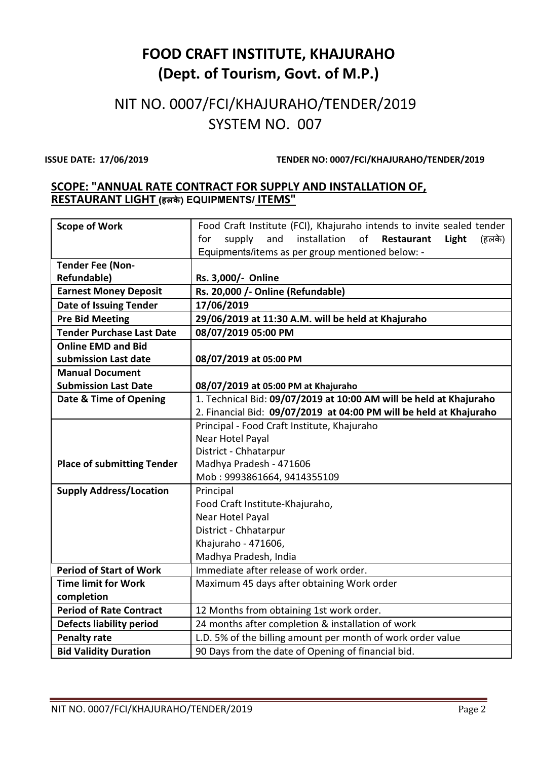# FOOD CRAFT INSTITUTE, KHAJURAHO (Dept. of Tourism, Govt. of M.P.)

## NIT NO. 0007/FCI/KHAJURAHO/TENDER/2019 SYSTEM NO. 007

ISSUE DATE: 17/06/2019 TENDER NO: 0007/FCI/KHAJURAHO/TENDER/2019

### SCOPE: "ANNUAL RATE CONTRACT FOR SUPPLY AND INSTALLATION OF, RESTAURANT LIGHT (हलके) EQUIPMENTS/ ITEMS"

| <b>Scope of Work</b>              | Food Craft Institute (FCI), Khajuraho intends to invite sealed tender       |  |  |  |
|-----------------------------------|-----------------------------------------------------------------------------|--|--|--|
|                                   | supply<br>and<br>installation<br>of<br>Restaurant<br>for<br>Light<br>(हलके) |  |  |  |
|                                   | Equipments/items as per group mentioned below: -                            |  |  |  |
| <b>Tender Fee (Non-</b>           |                                                                             |  |  |  |
| <b>Refundable)</b>                | Rs. 3,000/- Online                                                          |  |  |  |
| <b>Earnest Money Deposit</b>      | Rs. 20,000 /- Online (Refundable)                                           |  |  |  |
| <b>Date of Issuing Tender</b>     | 17/06/2019                                                                  |  |  |  |
| <b>Pre Bid Meeting</b>            | 29/06/2019 at 11:30 A.M. will be held at Khajuraho                          |  |  |  |
| <b>Tender Purchase Last Date</b>  | 08/07/2019 05:00 PM                                                         |  |  |  |
| <b>Online EMD and Bid</b>         |                                                                             |  |  |  |
| submission Last date              | 08/07/2019 at 05:00 PM                                                      |  |  |  |
| <b>Manual Document</b>            |                                                                             |  |  |  |
| <b>Submission Last Date</b>       | 08/07/2019 at 05:00 PM at Khajuraho                                         |  |  |  |
| Date & Time of Opening            | 1. Technical Bid: 09/07/2019 at 10:00 AM will be held at Khajuraho          |  |  |  |
|                                   | 2. Financial Bid: 09/07/2019 at 04:00 PM will be held at Khajuraho          |  |  |  |
|                                   | Principal - Food Craft Institute, Khajuraho                                 |  |  |  |
|                                   | Near Hotel Payal                                                            |  |  |  |
|                                   | District - Chhatarpur                                                       |  |  |  |
| <b>Place of submitting Tender</b> | Madhya Pradesh - 471606                                                     |  |  |  |
|                                   | Mob: 9993861664, 9414355109                                                 |  |  |  |
| <b>Supply Address/Location</b>    | Principal                                                                   |  |  |  |
|                                   | Food Craft Institute-Khajuraho,                                             |  |  |  |
|                                   | Near Hotel Payal                                                            |  |  |  |
|                                   | District - Chhatarpur                                                       |  |  |  |
|                                   | Khajuraho - 471606,                                                         |  |  |  |
|                                   | Madhya Pradesh, India                                                       |  |  |  |
| <b>Period of Start of Work</b>    | Immediate after release of work order.                                      |  |  |  |
| <b>Time limit for Work</b>        | Maximum 45 days after obtaining Work order                                  |  |  |  |
| completion                        |                                                                             |  |  |  |
| <b>Period of Rate Contract</b>    | 12 Months from obtaining 1st work order.                                    |  |  |  |
| <b>Defects liability period</b>   | 24 months after completion & installation of work                           |  |  |  |
| <b>Penalty rate</b>               | L.D. 5% of the billing amount per month of work order value                 |  |  |  |
| <b>Bid Validity Duration</b>      | 90 Days from the date of Opening of financial bid.                          |  |  |  |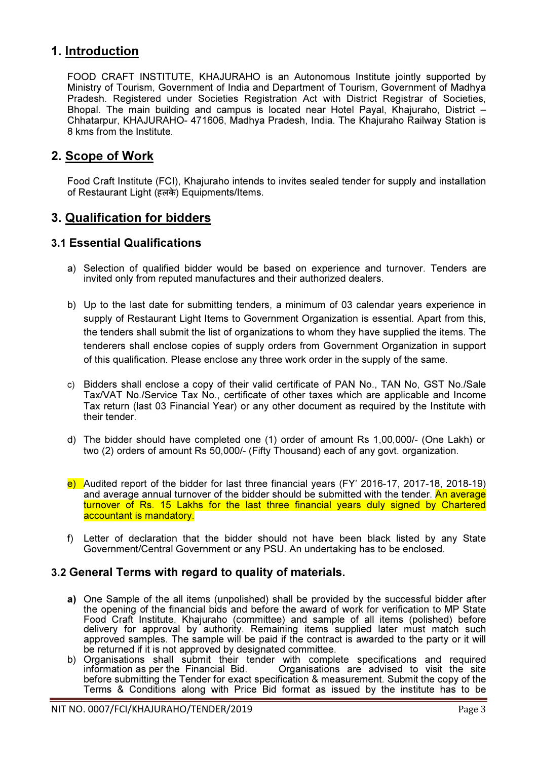### 1. Introduction

FOOD CRAFT INSTITUTE, KHAJURAHO is an Autonomous Institute jointly supported by Ministry of Tourism, Government of India and Department of Tourism, Government of Madhya Pradesh. Registered under Societies Registration Act with District Registrar of Societies, Bhopal. The main building and campus is located near Hotel Payal, Khajuraho, District – Chhatarpur, KHAJURAHO- 471606, Madhya Pradesh, India. The Khajuraho Railway Station is 8 kms from the Institute.

### 2. Scope of Work

Food Craft Institute (FCI), Khajuraho intends to invites sealed tender for supply and installation of Restaurant Light (हलके ) Equipments/Items.

### 3. Qualification for bidders

### 3.1 Essential Qualifications

- a) Selection of qualified bidder would be based on experience and turnover. Tenders are invited only from reputed manufactures and their authorized dealers.
- b) Up to the last date for submitting tenders, a minimum of 03 calendar years experience in supply of Restaurant Light Items to Government Organization is essential. Apart from this, the tenders shall submit the list of organizations to whom they have supplied the items. The tenderers shall enclose copies of supply orders from Government Organization in support of this qualification. Please enclose any three work order in the supply of the same.
- c) Bidders shall enclose a copy of their valid certificate of PAN No., TAN No, GST No./Sale Tax/VAT No./Service Tax No., certificate of other taxes which are applicable and Income Tax return (last 03 Financial Year) or any other document as required by the Institute with their tender.
- d) The bidder should have completed one (1) order of amount Rs 1,00,000/- (One Lakh) or two (2) orders of amount Rs 50,000/- (Fifty Thousand) each of any govt. organization.
- e) Audited report of the bidder for last three financial years (FY' 2016-17, 2017-18, 2018-19) and average annual turnover of the bidder should be submitted with the tender. An average turnover of Rs. 15 Lakhs for the last three financial years duly signed by Chartered accountant is mandatory.
- f) Letter of declaration that the bidder should not have been black listed by any State Government/Central Government or any PSU. An undertaking has to be enclosed.

### 3.2 General Terms with regard to quality of materials.

- a) One Sample of the all items (unpolished) shall be provided by the successful bidder after the opening of the financial bids and before the award of work for verification to MP State Food Craft Institute, Khajuraho (committee) and sample of all items (polished) before delivery for approval by authority. Remaining items supplied later must match such approved samples. The sample will be paid if the contract is awarded to the party or it will be returned if it is not approved by designated committee.
- b) Organisations shall submit their tender with complete specifications and required information as per the Financial Bid. Organisations are advised to visit the site Organisations are advised to visit the site. before submitting the Tender for exact specification & measurement. Submit the copy of the Terms & Conditions along with Price Bid format as issued by the institute has to be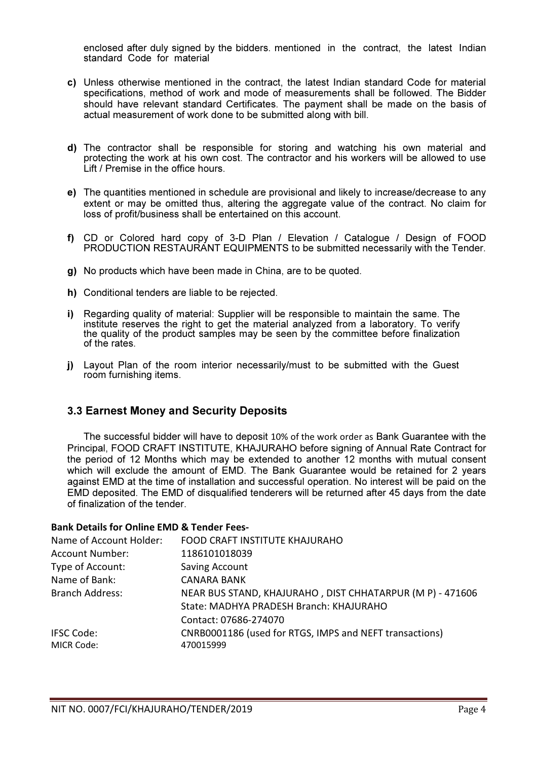enclosed after duly signed by the bidders. mentioned in the contract, the latest Indian standard Code for material

- c) Unless otherwise mentioned in the contract, the latest Indian standard Code for material specifications, method of work and mode of measurements shall be followed. The Bidder should have relevant standard Certificates. The payment shall be made on the basis of actual measurement of work done to be submitted along with bill.
- d) The contractor shall be responsible for storing and watching his own material and protecting the work at his own cost. The contractor and his workers will be allowed to use Lift / Premise in the office hours.
- e) The quantities mentioned in schedule are provisional and likely to increase/decrease to any extent or may be omitted thus, altering the aggregate value of the contract. No claim for loss of profit/business shall be entertained on this account.
- f) CD or Colored hard copy of 3-D Plan / Elevation / Catalogue / Design of FOOD PRODUCTION RESTAURANT EQUIPMENTS to be submitted necessarily with the Tender.
- g) No products which have been made in China, are to be quoted.
- h) Conditional tenders are liable to be rejected.
- i) Regarding quality of material: Supplier will be responsible to maintain the same. The institute reserves the right to get the material analyzed from a laboratory. To verify the quality of the product samples may be seen by the committee before finalization of the rates.
- j) Layout Plan of the room interior necessarily/must to be submitted with the Guest room furnishing items.

### 3.3 Earnest Money and Security Deposits

The successful bidder will have to deposit 10% of the work order as Bank Guarantee with the Principal, FOOD CRAFT INSTITUTE, KHAJURAHO before signing of Annual Rate Contract for the period of 12 Months which may be extended to another 12 months with mutual consent which will exclude the amount of EMD. The Bank Guarantee would be retained for 2 years against EMD at the time of installation and successful operation. No interest will be paid on the EMD deposited. The EMD of disqualified tenderers will be returned after 45 days from the date of finalization of the tender.

#### Bank Details for Online EMD & Tender Fees-

| Name of Account Holder: | FOOD CRAFT INSTITUTE KHAJURAHO                            |
|-------------------------|-----------------------------------------------------------|
| <b>Account Number:</b>  | 1186101018039                                             |
| Type of Account:        | <b>Saving Account</b>                                     |
| Name of Bank:           | <b>CANARA BANK</b>                                        |
| <b>Branch Address:</b>  | NEAR BUS STAND, KHAJURAHO, DIST CHHATARPUR (M P) - 471606 |
|                         | State: MADHYA PRADESH Branch: KHAJURAHO                   |
|                         | Contact: 07686-274070                                     |
| <b>IFSC Code:</b>       | CNRB0001186 (used for RTGS, IMPS and NEFT transactions)   |
| MICR Code:              | 470015999                                                 |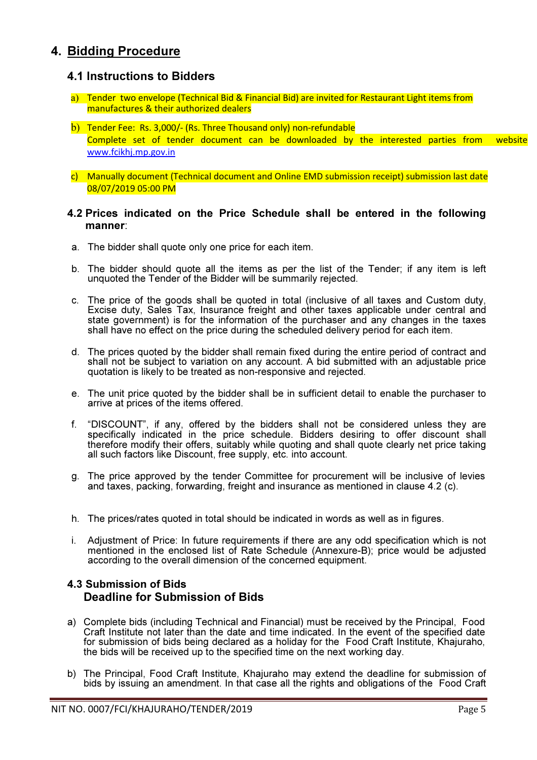### 4. Bidding Procedure

### 4.1 Instructions to Bidders

- a) Tender two envelope (Technical Bid & Financial Bid) are invited for Restaurant Light items from manufactures & their authorized dealers
- b) Tender Fee: Rs. 3,000/- (Rs. Three Thousand only) non-refundable Complete set of tender document can be downloaded by the interested parties from website www.fcikhj.mp.gov.in
- c) Manually document (Technical document and Online EMD submission receipt) submission last date 08/07/2019 05:00 PM

#### 4.2 Prices indicated on the Price Schedule shall be entered in the following manner:

- a. The bidder shall quote only one price for each item.
- b. The bidder should quote all the items as per the list of the Tender; if any item is left unquoted the Tender of the Bidder will be summarily rejected.
- c. The price of the goods shall be quoted in total (inclusive of all taxes and Custom duty, Excise duty, Sales Tax, Insurance freight and other taxes applicable under central and state government) is for the information of the purchaser and any changes in the taxes shall have no effect on the price during the scheduled delivery period for each item.
- d. The prices quoted by the bidder shall remain fixed during the entire period of contract and shall not be subject to variation on any account. A bid submitted with an adjustable price quotation is likely to be treated as non-responsive and rejected.
- e. The unit price quoted by the bidder shall be in sufficient detail to enable the purchaser to arrive at prices of the items offered.
- f. "DISCOUNT", if any, offered by the bidders shall not be considered unless they are specifically indicated in the price schedule. Bidders desiring to offer discount shall therefore modify their offers, suitably while quoting and shall quote clearly net price taking all such factors like Discount, free supply, etc. into account.
- g. The price approved by the tender Committee for procurement will be inclusive of levies and taxes, packing, forwarding, freight and insurance as mentioned in clause 4.2 (c).
- h. The prices/rates quoted in total should be indicated in words as well as in figures.
- i. Adjustment of Price: In future requirements if there are any odd specification which is not mentioned in the enclosed list of Rate Schedule (Annexure-B); price would be adjusted according to the overall dimension of the concerned equipment.

### 4.3 Submission of Bids Deadline for Submission of Bids

- a) Complete bids (including Technical and Financial) must be received by the Principal, Food Craft Institute not later than the date and time indicated. In the event of the specified date for submission of bids being declared as a holiday for the Food Craft Institute, Khajuraho, the bids will be received up to the specified time on the next working day.
- b) The Principal, Food Craft Institute, Khajuraho may extend the deadline for submission of bids by issuing an amendment. In that case all the rights and obligations of the Food Craft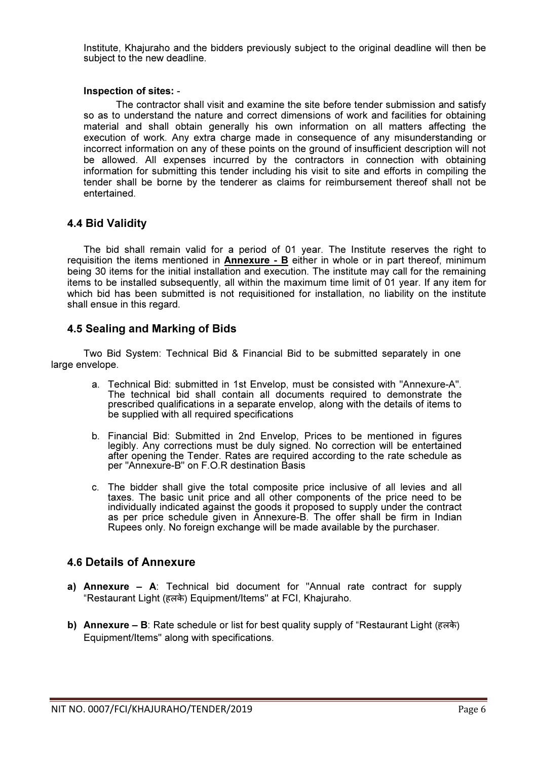Institute, Khajuraho and the bidders previously subject to the original deadline will then be subject to the new deadline.

#### Inspection of sites: -

The contractor shall visit and examine the site before tender submission and satisfy so as to understand the nature and correct dimensions of work and facilities for obtaining material and shall obtain generally his own information on all matters affecting the execution of work. Any extra charge made in consequence of any misunderstanding or incorrect information on any of these points on the ground of insufficient description will not be allowed. All expenses incurred by the contractors in connection with obtaining information for submitting this tender including his visit to site and efforts in compiling the tender shall be borne by the tenderer as claims for reimbursement thereof shall not be entertained.

### 4.4 Bid Validity

The bid shall remain valid for a period of 01 year. The Institute reserves the right to requisition the items mentioned in  $\Delta$ nnexure -  $\Delta$  either in whole or in part thereof, minimum being 30 items for the initial installation and execution. The institute may call for the remaining items to be installed subsequently, all within the maximum time limit of 01 year. If any item for which bid has been submitted is not requisitioned for installation, no liability on the institute shall ensue in this regard.

### 4.5 Sealing and Marking of Bids

Two Bid System: Technical Bid & Financial Bid to be submitted separately in one large envelope.

- a. Technical Bid: submitted in 1st Envelop, must be consisted with "Annexure-A". The technical bid shall contain all documents required to demonstrate the prescribed qualifications in a separate envelop, along with the details of items to be supplied with all required specifications
- b. Financial Bid: Submitted in 2nd Envelop, Prices to be mentioned in figures legibly. Any corrections must be duly signed. No correction will be entertained after opening the Tender. Rates are required according to the rate schedule as per "Annexure-B" on F.O.R destination Basis
- c. The bidder shall give the total composite price inclusive of all levies and all taxes. The basic unit price and all other components of the price need to be individually indicated against the goods it proposed to supply under the contract as per price schedule given in Annexure-B. The offer shall be firm in Indian Rupees only. No foreign exchange will be made available by the purchaser.

### 4.6 Details of Annexure

- a) Annexure A: Technical bid document for "Annual rate contract for supply "Restaurant Light (हलके ) Equipment/Items" at FCI, Khajuraho.
- b) Annexure B: Rate schedule or list for best quality supply of "Restaurant Light (हलके ) Equipment/Items" along with specifications.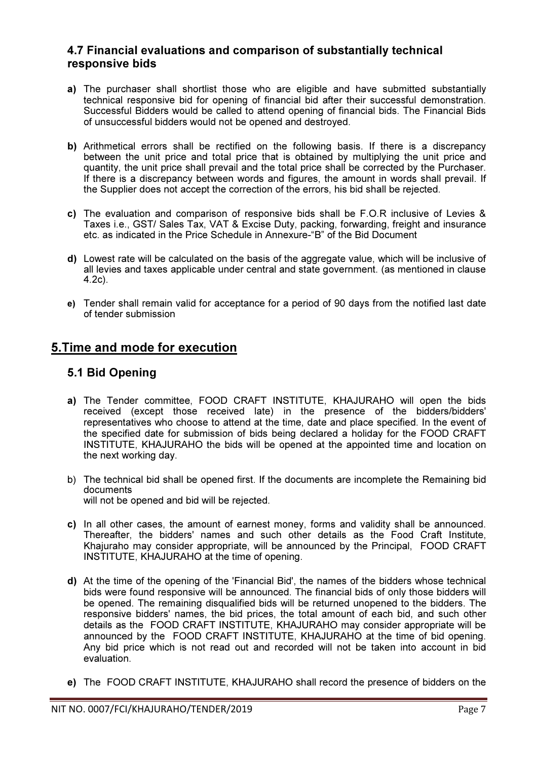### 4.7 Financial evaluations and comparison of substantially technical responsive bids

- a) The purchaser shall shortlist those who are eligible and have submitted substantially technical responsive bid for opening of financial bid after their successful demonstration. Successful Bidders would be called to attend opening of financial bids. The Financial Bids of unsuccessful bidders would not be opened and destroyed.
- b) Arithmetical errors shall be rectified on the following basis. If there is a discrepancy between the unit price and total price that is obtained by multiplying the unit price and quantity, the unit price shall prevail and the total price shall be corrected by the Purchaser. If there is a discrepancy between words and figures, the amount in words shall prevail. If the Supplier does not accept the correction of the errors, his bid shall be rejected.
- c) The evaluation and comparison of responsive bids shall be F.O.R inclusive of Levies & Taxes i.e., GST/ Sales Tax, VAT & Excise Duty, packing, forwarding, freight and insurance etc. as indicated in the Price Schedule in Annexure-"B" of the Bid Document
- d) Lowest rate will be calculated on the basis of the aggregate value, which will be inclusive of all levies and taxes applicable under central and state government. (as mentioned in clause 4.2c).
- e) Tender shall remain valid for acceptance for a period of 90 days from the notified last date of tender submission

### 5.Time and mode for execution

### 5.1 Bid Opening

- a) The Tender committee, FOOD CRAFT INSTITUTE, KHAJURAHO will open the bids received (except those received late) in the presence of the bidders/bidders' representatives who choose to attend at the time, date and place specified. In the event of the specified date for submission of bids being declared a holiday for the FOOD CRAFT INSTITUTE, KHAJURAHO the bids will be opened at the appointed time and location on the next working day.
- b) The technical bid shall be opened first. If the documents are incomplete the Remaining bid documents will not be opened and bid will be rejected.
- c) In all other cases, the amount of earnest money, forms and validity shall be announced. Thereafter, the bidders' names and such other details as the Food Craft Institute, Khajuraho may consider appropriate, will be announced by the Principal, FOOD CRAFT INSTITUTE, KHAJURAHO at the time of opening.
- d) At the time of the opening of the 'Financial Bid', the names of the bidders whose technical bids were found responsive will be announced. The financial bids of only those bidders will be opened. The remaining disqualified bids will be returned unopened to the bidders. The responsive bidders' names, the bid prices, the total amount of each bid, and such other details as the FOOD CRAFT INSTITUTE, KHAJURAHO may consider appropriate will be announced by the FOOD CRAFT INSTITUTE, KHAJURAHO at the time of bid opening. Any bid price which is not read out and recorded will not be taken into account in bid evaluation.
- e) The FOOD CRAFT INSTITUTE, KHAJURAHO shall record the presence of bidders on the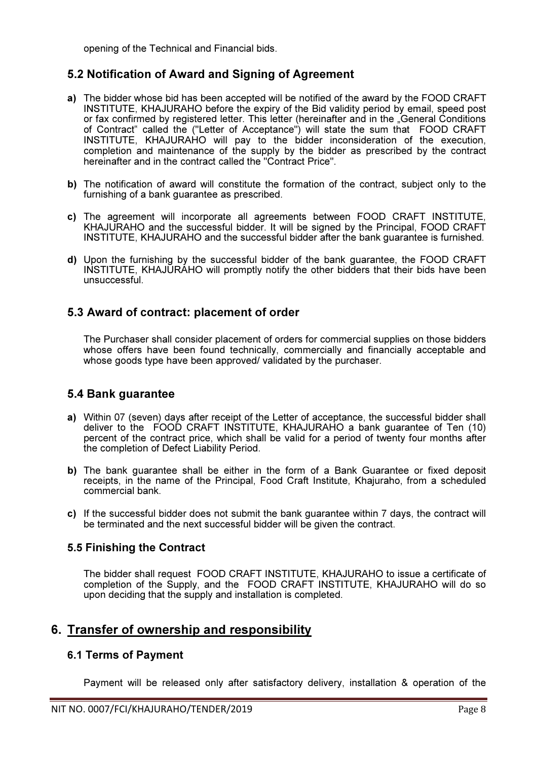opening of the Technical and Financial bids.

### 5.2 Notification of Award and Signing of Agreement

- a) The bidder whose bid has been accepted will be notified of the award by the FOOD CRAFT INSTITUTE, KHAJURAHO before the expiry of the Bid validity period by email, speed post or fax confirmed by registered letter. This letter (hereinafter and in the "General Conditions of Contract" called the ("Letter of Acceptance") will state the sum that FOOD CRAFT INSTITUTE, KHAJURAHO will pay to the bidder inconsideration of the execution, completion and maintenance of the supply by the bidder as prescribed by the contract hereinafter and in the contract called the "Contract Price".
- b) The notification of award will constitute the formation of the contract, subject only to the furnishing of a bank guarantee as prescribed.
- c) The agreement will incorporate all agreements between FOOD CRAFT INSTITUTE, KHAJURAHO and the successful bidder. It will be signed by the Principal, FOOD CRAFT INSTITUTE, KHAJURAHO and the successful bidder after the bank guarantee is furnished.
- d) Upon the furnishing by the successful bidder of the bank guarantee, the FOOD CRAFT INSTITUTE, KHAJURAHO will promptly notify the other bidders that their bids have been unsuccessful.

### 5.3 Award of contract: placement of order

The Purchaser shall consider placement of orders for commercial supplies on those bidders whose offers have been found technically, commercially and financially acceptable and whose goods type have been approved/ validated by the purchaser.

### 5.4 Bank guarantee

- a) Within 07 (seven) days after receipt of the Letter of acceptance, the successful bidder shall deliver to the FOOD CRAFT INSTITUTE, KHAJURAHO a bank guarantee of Ten (10) percent of the contract price, which shall be valid for a period of twenty four months after the completion of Defect Liability Period.
- b) The bank quarantee shall be either in the form of a Bank Guarantee or fixed deposit receipts, in the name of the Principal, Food Craft Institute, Khajuraho, from a scheduled commercial bank.
- c) If the successful bidder does not submit the bank guarantee within 7 days, the contract will be terminated and the next successful bidder will be given the contract.

### 5.5 Finishing the Contract

The bidder shall request FOOD CRAFT INSTITUTE, KHAJURAHO to issue a certificate of completion of the Supply, and the FOOD CRAFT INSTITUTE, KHAJURAHO will do so upon deciding that the supply and installation is completed.

### 6. Transfer of ownership and responsibility

### 6.1 Terms of Payment

Payment will be released only after satisfactory delivery, installation & operation of the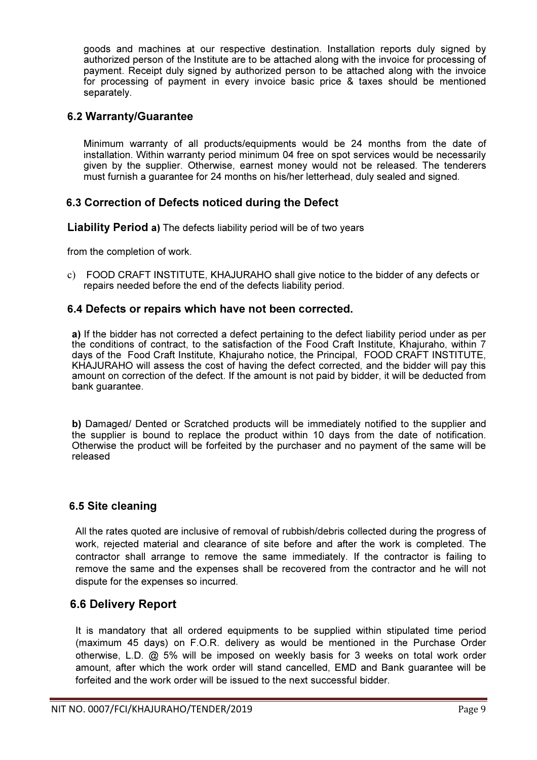goods and machines at our respective destination. Installation reports duly signed by authorized person of the Institute are to be attached along with the invoice for processing of payment. Receipt duly signed by authorized person to be attached along with the invoice for processing of payment in every invoice basic price & taxes should be mentioned separately.

### 6.2 Warranty/Guarantee

Minimum warranty of all products/equipments would be 24 months from the date of installation. Within warranty period minimum 04 free on spot services would be necessarily given by the supplier. Otherwise, earnest money would not be released. The tenderers must furnish a guarantee for 24 months on his/her letterhead, duly sealed and signed.

### 6.3 Correction of Defects noticed during the Defect

Liability Period a) The defects liability period will be of two years

from the completion of work.

c) FOOD CRAFT INSTITUTE, KHAJURAHO shall give notice to the bidder of any defects or repairs needed before the end of the defects liability period.

### 6.4 Defects or repairs which have not been corrected.

a) If the bidder has not corrected a defect pertaining to the defect liability period under as per the conditions of contract, to the satisfaction of the Food Craft Institute, Khajuraho, within 7 days of the Food Craft Institute, Khajuraho notice, the Principal, FOOD CRAFT INSTITUTE, KHAJURAHO will assess the cost of having the defect corrected, and the bidder will pay this amount on correction of the defect. If the amount is not paid by bidder, it will be deducted from bank guarantee.

b) Damaged/ Dented or Scratched products will be immediately notified to the supplier and the supplier is bound to replace the product within 10 days from the date of notification. Otherwise the product will be forfeited by the purchaser and no payment of the same will be released

### 6.5 Site cleaning

All the rates quoted are inclusive of removal of rubbish/debris collected during the progress of work, rejected material and clearance of site before and after the work is completed. The contractor shall arrange to remove the same immediately. If the contractor is failing to remove the same and the expenses shall be recovered from the contractor and he will not dispute for the expenses so incurred.

### 6.6 Delivery Report

It is mandatory that all ordered equipments to be supplied within stipulated time period (maximum 45 days) on F.O.R. delivery as would be mentioned in the Purchase Order otherwise, L.D. @ 5% will be imposed on weekly basis for 3 weeks on total work order amount, after which the work order will stand cancelled, EMD and Bank guarantee will be forfeited and the work order will be issued to the next successful bidder.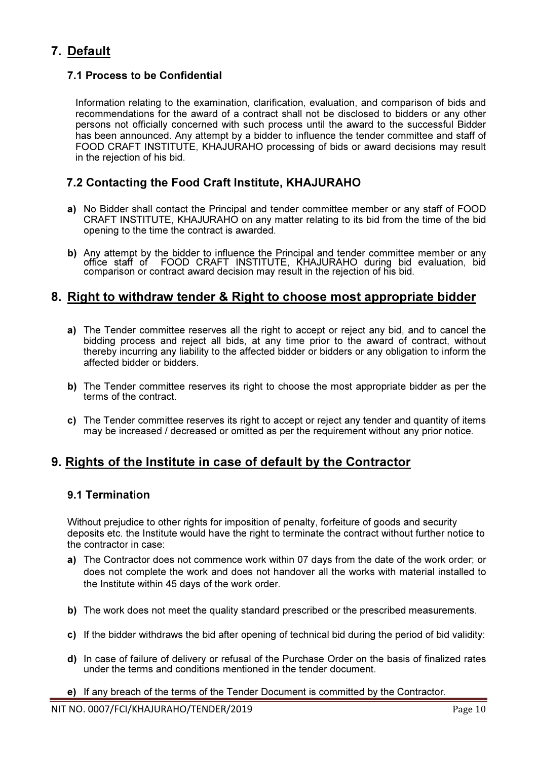### 7. Default

### 7.1 Process to be Confidential

Information relating to the examination, clarification, evaluation, and comparison of bids and recommendations for the award of a contract shall not be disclosed to bidders or any other persons not officially concerned with such process until the award to the successful Bidder has been announced. Any attempt by a bidder to influence the tender committee and staff of FOOD CRAFT INSTITUTE, KHAJURAHO processing of bids or award decisions may result in the rejection of his bid.

### 7.2 Contacting the Food Craft Institute, KHAJURAHO

- a) No Bidder shall contact the Principal and tender committee member or any staff of FOOD CRAFT INSTITUTE, KHAJURAHO on any matter relating to its bid from the time of the bid opening to the time the contract is awarded.
- b) Any attempt by the bidder to influence the Principal and tender committee member or any office staff of FOOD CRAFT INSTITUTE, KHAJURAHO during bid evaluation, bid comparison or contract award decision may result in the rejection of his bid.

### 8. Right to withdraw tender & Right to choose most appropriate bidder

- a) The Tender committee reserves all the right to accept or reject any bid, and to cancel the bidding process and reject all bids, at any time prior to the award of contract, without thereby incurring any liability to the affected bidder or bidders or any obligation to inform the affected bidder or bidders.
- b) The Tender committee reserves its right to choose the most appropriate bidder as per the terms of the contract.
- c) The Tender committee reserves its right to accept or reject any tender and quantity of items may be increased / decreased or omitted as per the requirement without any prior notice.

### 9. Rights of the Institute in case of default by the Contractor

### 9.1 Termination

Without prejudice to other rights for imposition of penalty, forfeiture of goods and security deposits etc. the Institute would have the right to terminate the contract without further notice to the contractor in case:

- a) The Contractor does not commence work within 07 days from the date of the work order; or does not complete the work and does not handover all the works with material installed to the Institute within 45 days of the work order.
- b) The work does not meet the quality standard prescribed or the prescribed measurements.
- c) If the bidder withdraws the bid after opening of technical bid during the period of bid validity:
- d) In case of failure of delivery or refusal of the Purchase Order on the basis of finalized rates under the terms and conditions mentioned in the tender document.
- e) If any breach of the terms of the Tender Document is committed by the Contractor.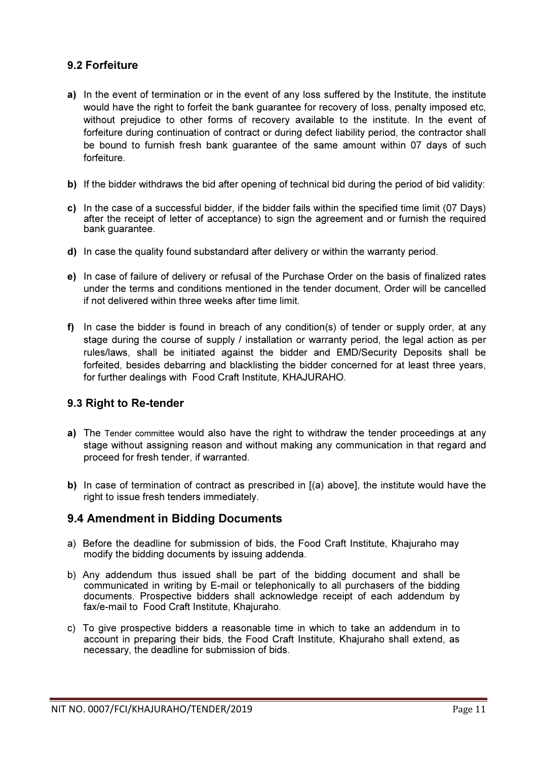### 9.2 Forfeiture

- a) In the event of termination or in the event of any loss suffered by the Institute, the institute would have the right to forfeit the bank guarantee for recovery of loss, penalty imposed etc, without prejudice to other forms of recovery available to the institute. In the event of forfeiture during continuation of contract or during defect liability period, the contractor shall be bound to furnish fresh bank guarantee of the same amount within 07 days of such forfeiture.
- b) If the bidder withdraws the bid after opening of technical bid during the period of bid validity:
- c) In the case of a successful bidder, if the bidder fails within the specified time limit (07 Days) after the receipt of letter of acceptance) to sign the agreement and or furnish the required bank guarantee.
- d) In case the quality found substandard after delivery or within the warranty period.
- e) In case of failure of delivery or refusal of the Purchase Order on the basis of finalized rates under the terms and conditions mentioned in the tender document, Order will be cancelled if not delivered within three weeks after time limit.
- f) In case the bidder is found in breach of any condition(s) of tender or supply order, at any stage during the course of supply / installation or warranty period, the legal action as per rules/laws, shall be initiated against the bidder and EMD/Security Deposits shall be forfeited, besides debarring and blacklisting the bidder concerned for at least three years, for further dealings with Food Craft Institute, KHAJURAHO.

### 9.3 Right to Re-tender

- a) The Tender committee would also have the right to withdraw the tender proceedings at any stage without assigning reason and without making any communication in that regard and proceed for fresh tender, if warranted.
- b) In case of termination of contract as prescribed in  $[(a)$  above], the institute would have the right to issue fresh tenders immediately.

### 9.4 Amendment in Bidding Documents

- a) Before the deadline for submission of bids, the Food Craft Institute, Khajuraho may modify the bidding documents by issuing addenda.
- b) Any addendum thus issued shall be part of the bidding document and shall be communicated in writing by E-mail or telephonically to all purchasers of the bidding documents. Prospective bidders shall acknowledge receipt of each addendum by fax/e-mail to Food Craft Institute, Khajuraho.
- c) To give prospective bidders a reasonable time in which to take an addendum in to account in preparing their bids, the Food Craft Institute, Khajuraho shall extend, as necessary, the deadline for submission of bids.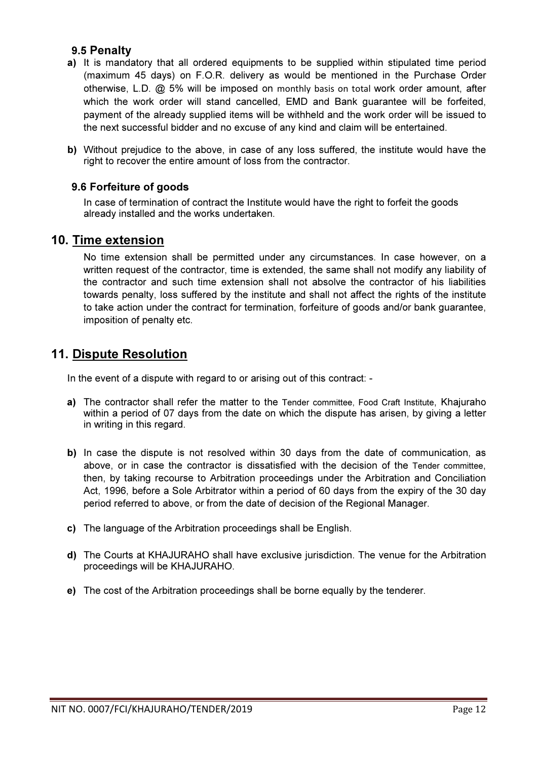### 9.5 Penalty

- a) It is mandatory that all ordered equipments to be supplied within stipulated time period (maximum 45 days) on F.O.R. delivery as would be mentioned in the Purchase Order otherwise, L.D. @ 5% will be imposed on monthly basis on total work order amount, after which the work order will stand cancelled, EMD and Bank guarantee will be forfeited, payment of the already supplied items will be withheld and the work order will be issued to the next successful bidder and no excuse of any kind and claim will be entertained.
- b) Without prejudice to the above, in case of any loss suffered, the institute would have the right to recover the entire amount of loss from the contractor.

### 9.6 Forfeiture of goods

In case of termination of contract the Institute would have the right to forfeit the goods already installed and the works undertaken.

### 10. Time extension

No time extension shall be permitted under any circumstances. In case however, on a written request of the contractor, time is extended, the same shall not modify any liability of the contractor and such time extension shall not absolve the contractor of his liabilities towards penalty, loss suffered by the institute and shall not affect the rights of the institute to take action under the contract for termination, forfeiture of goods and/or bank guarantee, imposition of penalty etc.

### 11. Dispute Resolution

In the event of a dispute with regard to or arising out of this contract: -

- a) The contractor shall refer the matter to the Tender committee, Food Craft Institute, Khajuraho within a period of 07 days from the date on which the dispute has arisen, by giving a letter in writing in this regard.
- b) In case the dispute is not resolved within 30 days from the date of communication, as above, or in case the contractor is dissatisfied with the decision of the Tender committee, then, by taking recourse to Arbitration proceedings under the Arbitration and Conciliation Act, 1996, before a Sole Arbitrator within a period of 60 days from the expiry of the 30 day period referred to above, or from the date of decision of the Regional Manager.
- c) The language of the Arbitration proceedings shall be English.
- d) The Courts at KHAJURAHO shall have exclusive jurisdiction. The venue for the Arbitration proceedings will be KHAJURAHO.
- e) The cost of the Arbitration proceedings shall be borne equally by the tenderer.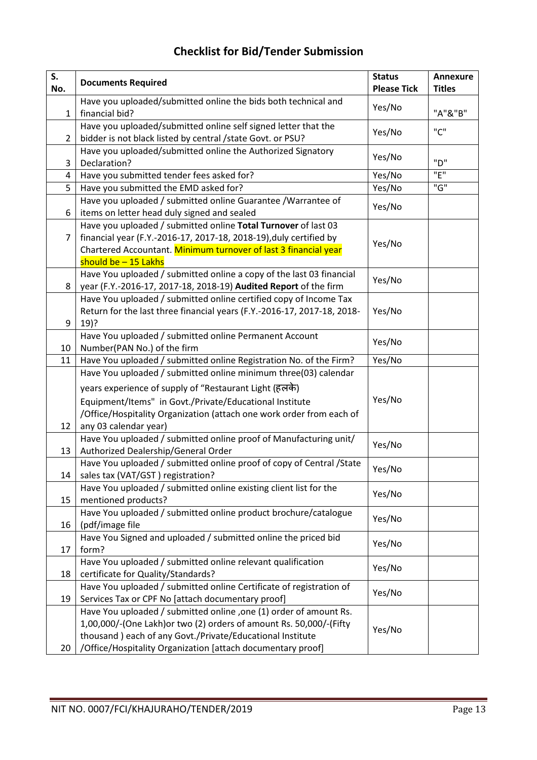# Checklist for Bid/Tender Submission

| S.<br>No.      | <b>Documents Required</b>                                                                                                                                                                                                                                              | <b>Status</b><br><b>Please Tick</b> | <b>Annexure</b><br><b>Titles</b> |
|----------------|------------------------------------------------------------------------------------------------------------------------------------------------------------------------------------------------------------------------------------------------------------------------|-------------------------------------|----------------------------------|
| $\mathbf{1}$   | Have you uploaded/submitted online the bids both technical and<br>financial bid?                                                                                                                                                                                       | Yes/No                              | "A"&"B"                          |
| $\overline{2}$ | Have you uploaded/submitted online self signed letter that the<br>bidder is not black listed by central / state Govt. or PSU?                                                                                                                                          | Yes/No                              | "C"                              |
| 3              | Have you uploaded/submitted online the Authorized Signatory<br>Declaration?                                                                                                                                                                                            | Yes/No                              | "D"                              |
| 4              | Have you submitted tender fees asked for?                                                                                                                                                                                                                              | Yes/No                              | "E"                              |
| 5              | Have you submitted the EMD asked for?                                                                                                                                                                                                                                  | Yes/No                              | "G"                              |
| 6              | Have you uploaded / submitted online Guarantee / Warrantee of<br>items on letter head duly signed and sealed                                                                                                                                                           | Yes/No                              |                                  |
| 7              | Have you uploaded / submitted online Total Turnover of last 03<br>financial year (F.Y.-2016-17, 2017-18, 2018-19), duly certified by<br>Chartered Accountant. Minimum turnover of last 3 financial year<br>should be $-15$ Lakhs                                       | Yes/No                              |                                  |
| 8              | Have You uploaded / submitted online a copy of the last 03 financial<br>year (F.Y.-2016-17, 2017-18, 2018-19) Audited Report of the firm                                                                                                                               | Yes/No                              |                                  |
| 9              | Have You uploaded / submitted online certified copy of Income Tax<br>Return for the last three financial years (F.Y.-2016-17, 2017-18, 2018-<br>$19)$ ?                                                                                                                | Yes/No                              |                                  |
| 10             | Have You uploaded / submitted online Permanent Account<br>Number(PAN No.) of the firm                                                                                                                                                                                  | Yes/No                              |                                  |
| 11             | Have You uploaded / submitted online Registration No. of the Firm?                                                                                                                                                                                                     | Yes/No                              |                                  |
|                | Have You uploaded / submitted online minimum three(03) calendar                                                                                                                                                                                                        |                                     |                                  |
|                | years experience of supply of "Restaurant Light (हलके)                                                                                                                                                                                                                 |                                     |                                  |
| 12             | Equipment/Items" in Govt./Private/Educational Institute<br>/Office/Hospitality Organization (attach one work order from each of<br>any 03 calendar year)                                                                                                               | Yes/No                              |                                  |
| 13             | Have You uploaded / submitted online proof of Manufacturing unit/<br>Authorized Dealership/General Order                                                                                                                                                               | Yes/No                              |                                  |
| 14             | Have You uploaded / submitted online proof of copy of Central / State<br>sales tax (VAT/GST) registration?                                                                                                                                                             | Yes/No                              |                                  |
| 15             | Have You uploaded / submitted online existing client list for the<br>mentioned products?                                                                                                                                                                               | Yes/No                              |                                  |
| 16             | Have You uploaded / submitted online product brochure/catalogue<br>(pdf/image file                                                                                                                                                                                     | Yes/No                              |                                  |
| 17             | Have You Signed and uploaded / submitted online the priced bid<br>form?                                                                                                                                                                                                | Yes/No                              |                                  |
| 18             | Have You uploaded / submitted online relevant qualification<br>certificate for Quality/Standards?                                                                                                                                                                      | Yes/No                              |                                  |
| 19             | Have You uploaded / submitted online Certificate of registration of<br>Services Tax or CPF No [attach documentary proof]                                                                                                                                               | Yes/No                              |                                  |
| 20             | Have You uploaded / submitted online , one (1) order of amount Rs.<br>1,00,000/-(One Lakh) or two (2) orders of amount Rs. 50,000/-(Fifty<br>thousand ) each of any Govt./Private/Educational Institute<br>/Office/Hospitality Organization [attach documentary proof] | Yes/No                              |                                  |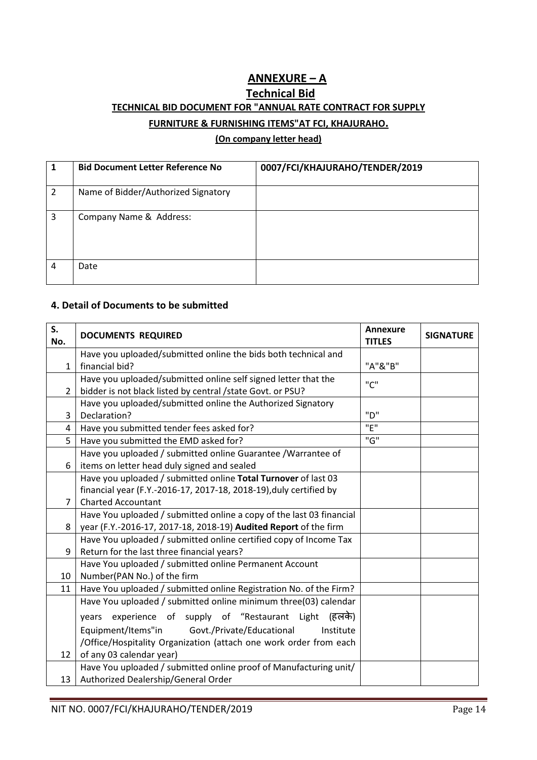### ANNEXURE – A Technical Bid TECHNICAL BID DOCUMENT FOR "ANNUAL RATE CONTRACT FOR SUPPLY FURNITURE & FURNISHING ITEMS"AT FCI, KHAJURAHO.

#### (On company letter head)

|                | <b>Bid Document Letter Reference No</b> | 0007/FCI/KHAJURAHO/TENDER/2019 |
|----------------|-----------------------------------------|--------------------------------|
| $\overline{2}$ | Name of Bidder/Authorized Signatory     |                                |
| 3              | Company Name & Address:                 |                                |
| 4              | Date                                    |                                |

#### 4. Detail of Documents to be submitted

| S.<br>No.      | <b>DOCUMENTS REQUIRED</b>                                            | <b>Annexure</b><br><b>TITLES</b> | <b>SIGNATURE</b> |
|----------------|----------------------------------------------------------------------|----------------------------------|------------------|
|                | Have you uploaded/submitted online the bids both technical and       |                                  |                  |
| $\mathbf{1}$   | financial bid?                                                       | "A"&"B"                          |                  |
|                | Have you uploaded/submitted online self signed letter that the       | "C"                              |                  |
| $\overline{2}$ | bidder is not black listed by central /state Govt. or PSU?           |                                  |                  |
|                | Have you uploaded/submitted online the Authorized Signatory          |                                  |                  |
| 3              | Declaration?                                                         | "ח"                              |                  |
| 4              | Have you submitted tender fees asked for?                            | "F"                              |                  |
| 5              | Have you submitted the EMD asked for?                                | "G"                              |                  |
|                | Have you uploaded / submitted online Guarantee / Warrantee of        |                                  |                  |
| 6              | items on letter head duly signed and sealed                          |                                  |                  |
|                | Have you uploaded / submitted online Total Turnover of last 03       |                                  |                  |
|                | financial year (F.Y.-2016-17, 2017-18, 2018-19), duly certified by   |                                  |                  |
| $\overline{7}$ | <b>Charted Accountant</b>                                            |                                  |                  |
|                | Have You uploaded / submitted online a copy of the last 03 financial |                                  |                  |
| 8              | year (F.Y.-2016-17, 2017-18, 2018-19) Audited Report of the firm     |                                  |                  |
|                | Have You uploaded / submitted online certified copy of Income Tax    |                                  |                  |
| 9              | Return for the last three financial years?                           |                                  |                  |
|                | Have You uploaded / submitted online Permanent Account               |                                  |                  |
| 10             | Number(PAN No.) of the firm                                          |                                  |                  |
| 11             | Have You uploaded / submitted online Registration No. of the Firm?   |                                  |                  |
|                | Have You uploaded / submitted online minimum three(03) calendar      |                                  |                  |
|                | (हलके)<br>experience of supply of "Restaurant Light<br>vears         |                                  |                  |
|                | Equipment/Items"in<br>Govt./Private/Educational<br>Institute         |                                  |                  |
|                | /Office/Hospitality Organization (attach one work order from each    |                                  |                  |
| 12             | of any 03 calendar year)                                             |                                  |                  |
|                | Have You uploaded / submitted online proof of Manufacturing unit/    |                                  |                  |
| 13             | Authorized Dealership/General Order                                  |                                  |                  |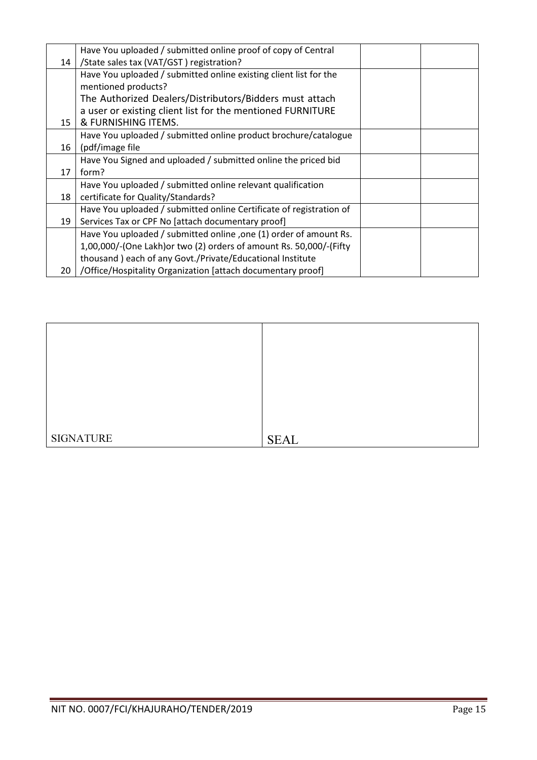|    | Have You uploaded / submitted online proof of copy of Central       |  |
|----|---------------------------------------------------------------------|--|
| 14 | /State sales tax (VAT/GST) registration?                            |  |
|    | Have You uploaded / submitted online existing client list for the   |  |
|    | mentioned products?                                                 |  |
|    | The Authorized Dealers/Distributors/Bidders must attach             |  |
|    | a user or existing client list for the mentioned FURNITURE          |  |
| 15 | & FURNISHING ITEMS.                                                 |  |
|    | Have You uploaded / submitted online product brochure/catalogue     |  |
| 16 | (pdf/image file                                                     |  |
|    | Have You Signed and uploaded / submitted online the priced bid      |  |
| 17 | form?                                                               |  |
|    | Have You uploaded / submitted online relevant qualification         |  |
| 18 | certificate for Quality/Standards?                                  |  |
|    | Have You uploaded / submitted online Certificate of registration of |  |
| 19 | Services Tax or CPF No [attach documentary proof]                   |  |
|    | Have You uploaded / submitted online , one (1) order of amount Rs.  |  |
|    | 1,00,000/-(One Lakh) or two (2) orders of amount Rs. 50,000/-(Fifty |  |
|    | thousand ) each of any Govt./Private/Educational Institute          |  |
| 20 | /Office/Hospitality Organization [attach documentary proof]         |  |

| <b>SIGNATURE</b> | <b>SEAL</b> |
|------------------|-------------|
|                  |             |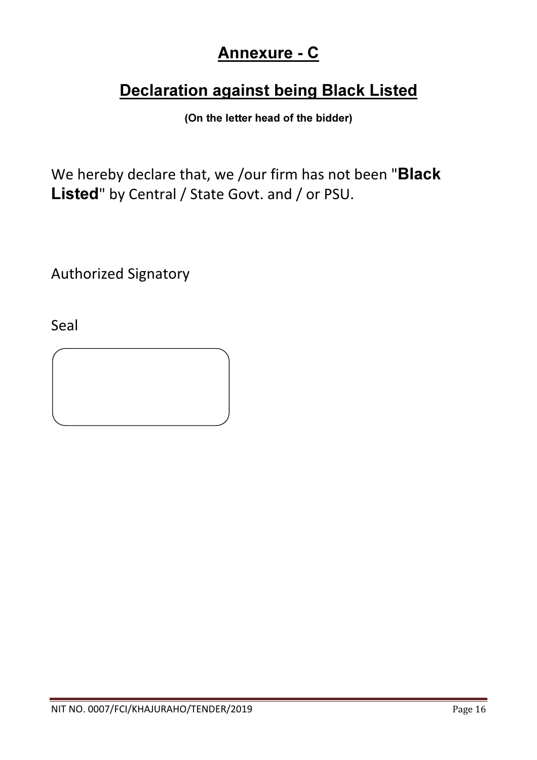# Annexure - C

# Declaration against being Black Listed

(On the letter head of the bidder)

We hereby declare that, we /our firm has not been "Black Listed" by Central / State Govt. and / or PSU.

Authorized Signatory

Seal

 $\overline{a}$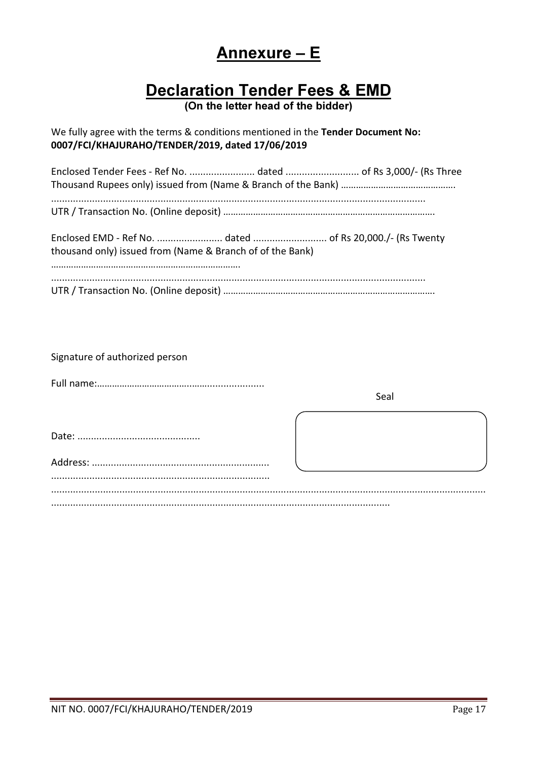# Annexure – E

# Declaration Tender Fees & EMD

(On the letter head of the bidder)

We fully agree with the terms & conditions mentioned in the Tender Document No: 0007/FCI/KHAJURAHO/TENDER/2019, dated 17/06/2019

| thousand only) issued from (Name & Branch of of the Bank) |
|-----------------------------------------------------------|
|                                                           |

Signature of authorized person

Full name:

| Seal |  |
|------|--|
|      |  |
|      |  |
|      |  |
|      |  |
|      |  |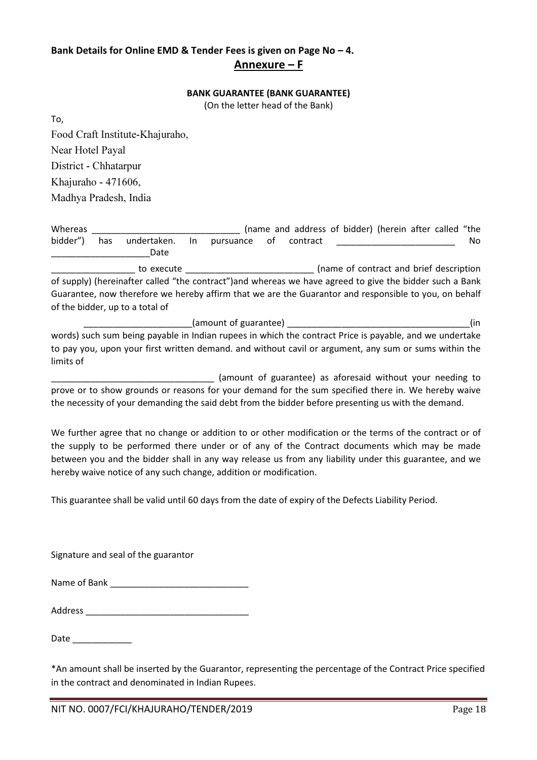### Bank Details for Online EMD & Tender Fees is given on Page No – 4. Annexure – F

#### BANK GUARANTEE (BANK GUARANTEE)

(On the letter head of the Bank)

Food Craft Institute-Khajuraho, Near Hotel Payal District - Chhatarpur Khajuraho - 471606, Madhya Pradesh, India

To,

| Whereas  |                                                                                                       |                                                                                                          |     |                                  |    |          |  | (name and address of bidder) (herein after called "the |     |
|----------|-------------------------------------------------------------------------------------------------------|----------------------------------------------------------------------------------------------------------|-----|----------------------------------|----|----------|--|--------------------------------------------------------|-----|
| bidder") | has                                                                                                   | undertaken.                                                                                              | In. | pursuance                        | оf | contract |  |                                                        | No. |
|          |                                                                                                       | Date                                                                                                     |     |                                  |    |          |  |                                                        |     |
|          |                                                                                                       | to execute                                                                                               |     |                                  |    |          |  | (name of contract and brief description                |     |
|          |                                                                                                       | of supply) (hereinafter called "the contract") and whereas we have agreed to give the bidder such a Bank |     |                                  |    |          |  |                                                        |     |
|          | Guarantee, now therefore we hereby affirm that we are the Guarantor and responsible to you, on behalf |                                                                                                          |     |                                  |    |          |  |                                                        |     |
|          |                                                                                                       | of the bidder, up to a total of                                                                          |     |                                  |    |          |  |                                                        |     |
|          |                                                                                                       |                                                                                                          |     | (amount of guarantee) $\sqrt{ }$ |    |          |  |                                                        | (in |
|          |                                                                                                       | words) such sum being payable in Indian rupees in which the contract Price is payable, and we undertake  |     |                                  |    |          |  |                                                        |     |
|          |                                                                                                       | to pay you, upon your first written demand. and without cavil or argument, any sum or sums within the    |     |                                  |    |          |  |                                                        |     |

limits of (amount of guarantee) as aforesaid without your needing to prove or to show grounds or reasons for your demand for the sum specified there in. We hereby waive

the necessity of your demanding the said debt from the bidder before presenting us with the demand.

We further agree that no change or addition to or other modification or the terms of the contract or of the supply to be performed there under or of any of the Contract documents which may be made between you and the bidder shall in any way release us from any liability under this guarantee, and we hereby waive notice of any such change, addition or modification.

This guarantee shall be valid until 60 days from the date of expiry of the Defects Liability Period.

Signature and seal of the guarantor

| Name of Bank |
|--------------|
|              |

Address  $\overline{\phantom{a}}$ 

Date  $\qquad \qquad \blacksquare$ 

\*An amount shall be inserted by the Guarantor, representing the percentage of the Contract Price specified in the contract and denominated in Indian Rupees.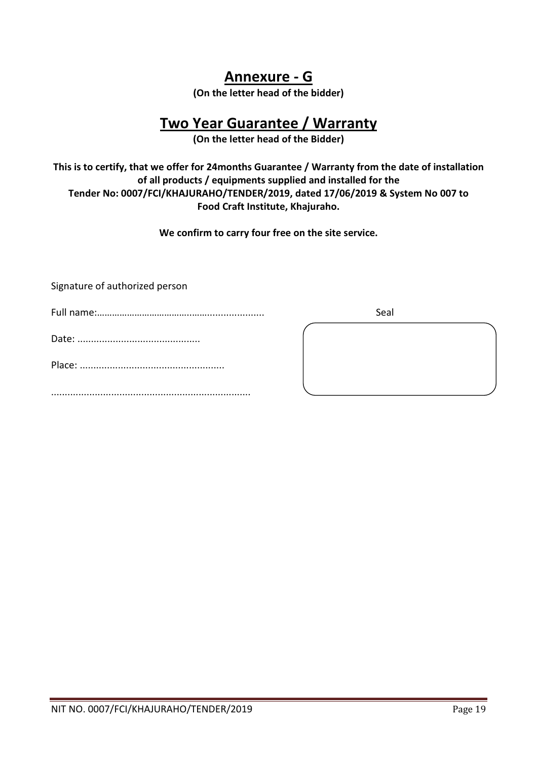### Annexure - G

(On the letter head of the bidder)

## Two Year Guarantee / Warranty

(On the letter head of the Bidder)

This is to certify, that we offer for 24months Guarantee / Warranty from the date of installation of all products / equipments supplied and installed for the Tender No: 0007/FCI/KHAJURAHO/TENDER/2019, dated 17/06/2019 & System No 007 to Food Craft Institute, Khajuraho.

We confirm to carry four free on the site service.

Signature of authorized person

| Seal |
|------|
|      |
|      |
|      |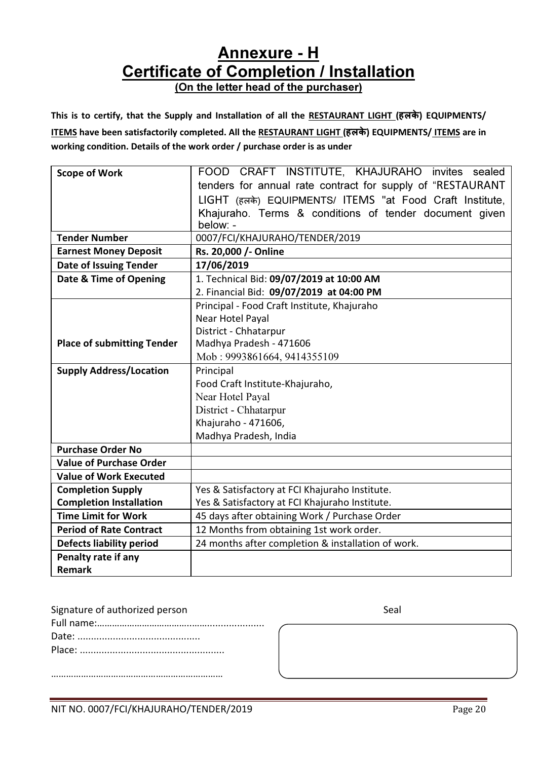# **Annexure - H** Certificate of Completion / Installation

(On the letter head of the purchaser)

### This is to certify, that the Supply and Installation of all the RESTAURANT LIGHT (हलके) EQUIPMENTS/ ITEMS have been satisfactorily completed. All the RESTAURANT LIGHT (हलके) EQUIPMENTS/ ITEMS are in

working condition. Details of the work order / purchase order is as under

| <b>Scope of Work</b>              | FOOD CRAFT INSTITUTE, KHAJURAHO invites sealed             |  |  |  |  |  |  |  |  |  |
|-----------------------------------|------------------------------------------------------------|--|--|--|--|--|--|--|--|--|
|                                   | tenders for annual rate contract for supply of "RESTAURANT |  |  |  |  |  |  |  |  |  |
|                                   | LIGHT (हलके) EQUIPMENTS/ ITEMS "at Food Craft Institute,   |  |  |  |  |  |  |  |  |  |
|                                   | Khajuraho. Terms & conditions of tender document given     |  |  |  |  |  |  |  |  |  |
|                                   | below: -                                                   |  |  |  |  |  |  |  |  |  |
| <b>Tender Number</b>              | 0007/FCI/KHAJURAHO/TENDER/2019                             |  |  |  |  |  |  |  |  |  |
| <b>Earnest Money Deposit</b>      | Rs. 20,000 /- Online                                       |  |  |  |  |  |  |  |  |  |
| <b>Date of Issuing Tender</b>     | 17/06/2019                                                 |  |  |  |  |  |  |  |  |  |
| Date & Time of Opening            | 1. Technical Bid: 09/07/2019 at 10:00 AM                   |  |  |  |  |  |  |  |  |  |
|                                   | 2. Financial Bid: 09/07/2019 at 04:00 PM                   |  |  |  |  |  |  |  |  |  |
|                                   | Principal - Food Craft Institute, Khajuraho                |  |  |  |  |  |  |  |  |  |
|                                   | Near Hotel Payal                                           |  |  |  |  |  |  |  |  |  |
|                                   | District - Chhatarpur                                      |  |  |  |  |  |  |  |  |  |
| <b>Place of submitting Tender</b> | Madhya Pradesh - 471606                                    |  |  |  |  |  |  |  |  |  |
|                                   | Mob: 9993861664, 9414355109                                |  |  |  |  |  |  |  |  |  |
| <b>Supply Address/Location</b>    | Principal                                                  |  |  |  |  |  |  |  |  |  |
|                                   | Food Craft Institute-Khajuraho,                            |  |  |  |  |  |  |  |  |  |
|                                   | Near Hotel Payal                                           |  |  |  |  |  |  |  |  |  |
|                                   | District - Chhatarpur                                      |  |  |  |  |  |  |  |  |  |
|                                   | Khajuraho - 471606,                                        |  |  |  |  |  |  |  |  |  |
|                                   | Madhya Pradesh, India                                      |  |  |  |  |  |  |  |  |  |
| <b>Purchase Order No</b>          |                                                            |  |  |  |  |  |  |  |  |  |
| <b>Value of Purchase Order</b>    |                                                            |  |  |  |  |  |  |  |  |  |
| <b>Value of Work Executed</b>     |                                                            |  |  |  |  |  |  |  |  |  |
| <b>Completion Supply</b>          | Yes & Satisfactory at FCI Khajuraho Institute.             |  |  |  |  |  |  |  |  |  |
| <b>Completion Installation</b>    | Yes & Satisfactory at FCI Khajuraho Institute.             |  |  |  |  |  |  |  |  |  |
| <b>Time Limit for Work</b>        | 45 days after obtaining Work / Purchase Order              |  |  |  |  |  |  |  |  |  |
| <b>Period of Rate Contract</b>    | 12 Months from obtaining 1st work order.                   |  |  |  |  |  |  |  |  |  |
| <b>Defects liability period</b>   | 24 months after completion & installation of work.         |  |  |  |  |  |  |  |  |  |
| Penalty rate if any               |                                                            |  |  |  |  |  |  |  |  |  |
| <b>Remark</b>                     |                                                            |  |  |  |  |  |  |  |  |  |

| Signature of authorized person | Seal |
|--------------------------------|------|
|                                |      |
|                                |      |
|                                |      |
|                                |      |

……………………………………………………………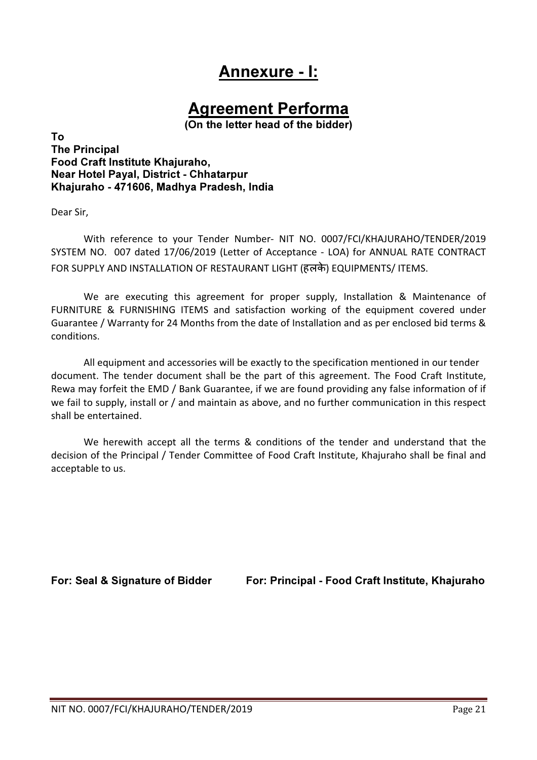# Annexure - I:

# Agreement Performa

(On the letter head of the bidder)

To The Principal Food Craft Institute Khajuraho, Near Hotel Payal, District - Chhatarpur Khajuraho - 471606, Madhya Pradesh, India

Dear Sir,

With reference to your Tender Number- NIT NO. 0007/FCI/KHAJURAHO/TENDER/2019 SYSTEM NO. 007 dated 17/06/2019 (Letter of Acceptance - LOA) for ANNUAL RATE CONTRACT FOR SUPPLY AND INSTALLATION OF RESTAURANT LIGHT (हलके) EQUIPMENTS/ ITEMS.

We are executing this agreement for proper supply, Installation & Maintenance of FURNITURE & FURNISHING ITEMS and satisfaction working of the equipment covered under Guarantee / Warranty for 24 Months from the date of Installation and as per enclosed bid terms & conditions.

All equipment and accessories will be exactly to the specification mentioned in our tender document. The tender document shall be the part of this agreement. The Food Craft Institute, Rewa may forfeit the EMD / Bank Guarantee, if we are found providing any false information of if we fail to supply, install or / and maintain as above, and no further communication in this respect shall be entertained.

We herewith accept all the terms & conditions of the tender and understand that the decision of the Principal / Tender Committee of Food Craft Institute, Khajuraho shall be final and acceptable to us.

For: Seal & Signature of Bidder For: Principal - Food Craft Institute, Khajuraho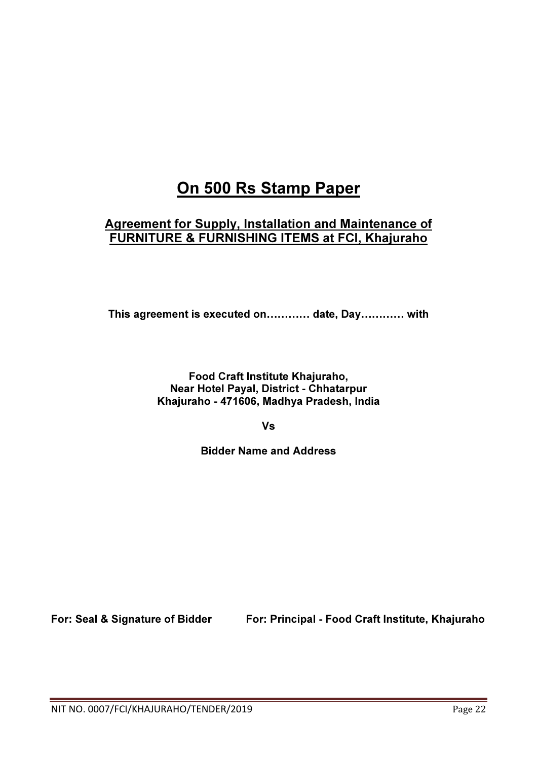# On 500 Rs Stamp Paper

### Agreement for Supply, Installation and Maintenance of FURNITURE & FURNISHING ITEMS at FCI, Khajuraho

This agreement is executed on............ date, Day............. with

Food Craft Institute Khajuraho, Near Hotel Payal, District - Chhatarpur Khajuraho - 471606, Madhya Pradesh, India

Vs

Bidder Name and Address

For: Seal & Signature of Bidder For: Principal - Food Craft Institute, Khajuraho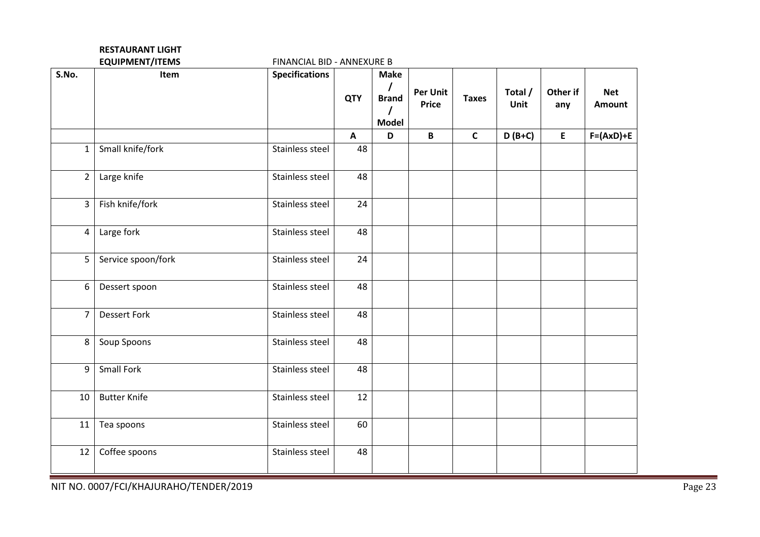|                | <b>RESTAURANT LIGHT</b> |                            |            |                             |                                 |              |                 |                 |                             |
|----------------|-------------------------|----------------------------|------------|-----------------------------|---------------------------------|--------------|-----------------|-----------------|-----------------------------|
|                | <b>EQUIPMENT/ITEMS</b>  | FINANCIAL BID - ANNEXURE B |            |                             |                                 |              |                 |                 |                             |
| S.No.          | Item                    | <b>Specifications</b>      | <b>QTY</b> | <b>Make</b><br><b>Brand</b> | <b>Per Unit</b><br><b>Price</b> | <b>Taxes</b> | Total /<br>Unit | Other if<br>any | <b>Net</b><br><b>Amount</b> |
|                |                         |                            |            | <b>Model</b>                |                                 |              |                 |                 |                             |
|                |                         |                            | A          | D                           | B                               | $\mathsf{C}$ | $D(B+C)$        | E               | $F=(AxD)+E$                 |
| $\mathbf{1}$   | Small knife/fork        | Stainless steel            | 48         |                             |                                 |              |                 |                 |                             |
| $\overline{2}$ | Large knife             | Stainless steel            | 48         |                             |                                 |              |                 |                 |                             |
| 3              | Fish knife/fork         | Stainless steel            | 24         |                             |                                 |              |                 |                 |                             |
| 4              | Large fork              | Stainless steel            | 48         |                             |                                 |              |                 |                 |                             |
| 5              | Service spoon/fork      | Stainless steel            | 24         |                             |                                 |              |                 |                 |                             |
| 6              | Dessert spoon           | Stainless steel            | 48         |                             |                                 |              |                 |                 |                             |
| $\overline{7}$ | <b>Dessert Fork</b>     | Stainless steel            | 48         |                             |                                 |              |                 |                 |                             |
| 8              | Soup Spoons             | Stainless steel            | 48         |                             |                                 |              |                 |                 |                             |
| 9              | <b>Small Fork</b>       | Stainless steel            | 48         |                             |                                 |              |                 |                 |                             |
| 10             | <b>Butter Knife</b>     | Stainless steel            | 12         |                             |                                 |              |                 |                 |                             |
| 11             | Tea spoons              | Stainless steel            | 60         |                             |                                 |              |                 |                 |                             |
| 12             | Coffee spoons           | Stainless steel            | 48         |                             |                                 |              |                 |                 |                             |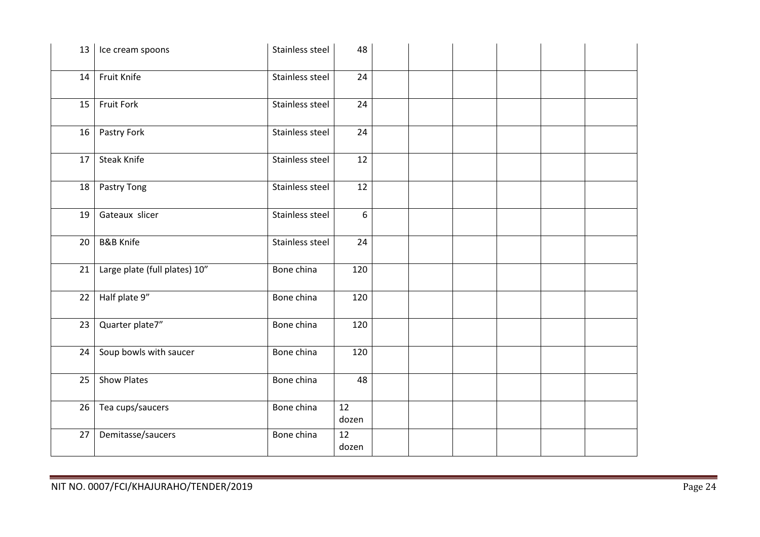| 13 | Ice cream spoons              | Stainless steel | 48          |  |  |  |
|----|-------------------------------|-----------------|-------------|--|--|--|
| 14 | Fruit Knife                   | Stainless steel | 24          |  |  |  |
| 15 | <b>Fruit Fork</b>             | Stainless steel | 24          |  |  |  |
| 16 | Pastry Fork                   | Stainless steel | 24          |  |  |  |
| 17 | <b>Steak Knife</b>            | Stainless steel | 12          |  |  |  |
| 18 | Pastry Tong                   | Stainless steel | 12          |  |  |  |
| 19 | Gateaux slicer                | Stainless steel | 6           |  |  |  |
| 20 | <b>B&amp;B Knife</b>          | Stainless steel | 24          |  |  |  |
| 21 | Large plate (full plates) 10" | Bone china      | 120         |  |  |  |
| 22 | Half plate 9"                 | Bone china      | 120         |  |  |  |
| 23 | Quarter plate7"               | Bone china      | 120         |  |  |  |
| 24 | Soup bowls with saucer        | Bone china      | 120         |  |  |  |
| 25 | <b>Show Plates</b>            | Bone china      | 48          |  |  |  |
| 26 | Tea cups/saucers              | Bone china      | 12<br>dozen |  |  |  |
| 27 | Demitasse/saucers             | Bone china      | 12<br>dozen |  |  |  |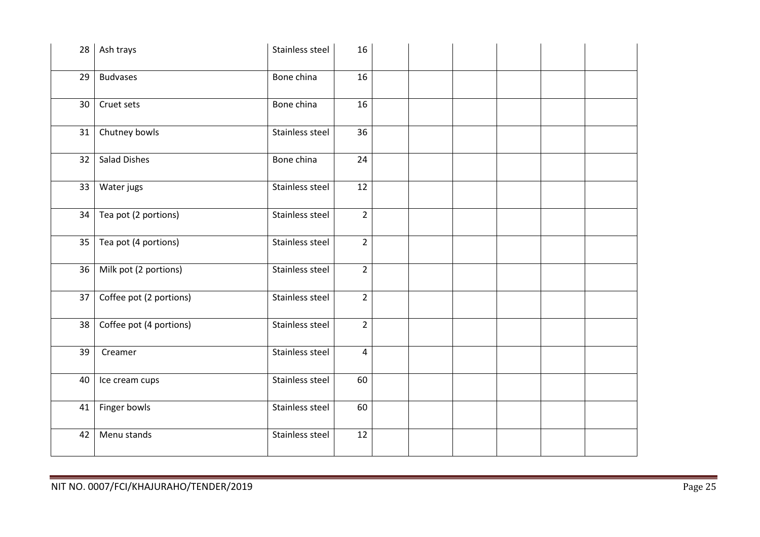| 28 | Ash trays               | Stainless steel | 16             |  |  |  |
|----|-------------------------|-----------------|----------------|--|--|--|
| 29 | <b>Budvases</b>         | Bone china      | 16             |  |  |  |
| 30 | Cruet sets              | Bone china      | 16             |  |  |  |
| 31 | Chutney bowls           | Stainless steel | 36             |  |  |  |
| 32 | <b>Salad Dishes</b>     | Bone china      | 24             |  |  |  |
| 33 | Water jugs              | Stainless steel | 12             |  |  |  |
| 34 | Tea pot (2 portions)    | Stainless steel | $\overline{2}$ |  |  |  |
| 35 | Tea pot (4 portions)    | Stainless steel | $\overline{2}$ |  |  |  |
| 36 | Milk pot (2 portions)   | Stainless steel | $\overline{2}$ |  |  |  |
| 37 | Coffee pot (2 portions) | Stainless steel | $\overline{2}$ |  |  |  |
| 38 | Coffee pot (4 portions) | Stainless steel | $\overline{2}$ |  |  |  |
| 39 | Creamer                 | Stainless steel | 4              |  |  |  |
| 40 | Ice cream cups          | Stainless steel | 60             |  |  |  |
| 41 | Finger bowls            | Stainless steel | 60             |  |  |  |
| 42 | Menu stands             | Stainless steel | 12             |  |  |  |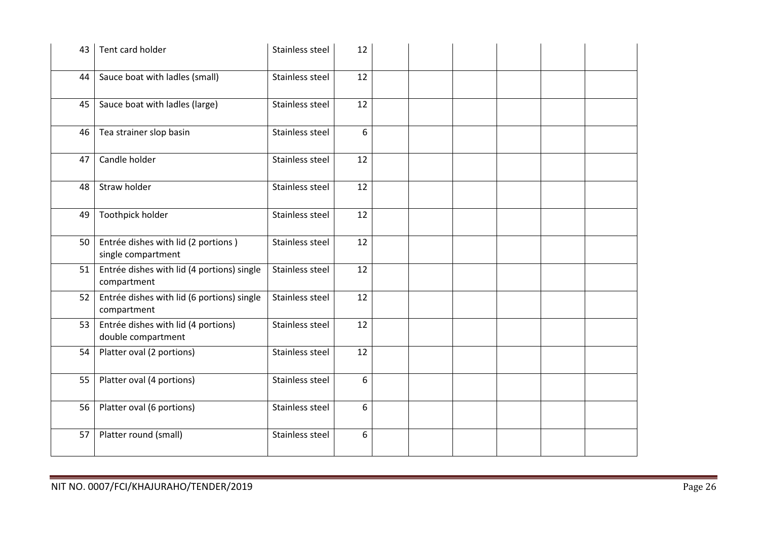| 43 | Tent card holder                                          | Stainless steel | 12 |  |  |  |
|----|-----------------------------------------------------------|-----------------|----|--|--|--|
| 44 | Sauce boat with ladles (small)                            | Stainless steel | 12 |  |  |  |
| 45 | Sauce boat with ladles (large)                            | Stainless steel | 12 |  |  |  |
| 46 | Tea strainer slop basin                                   | Stainless steel | 6  |  |  |  |
| 47 | Candle holder                                             | Stainless steel | 12 |  |  |  |
| 48 | Straw holder                                              | Stainless steel | 12 |  |  |  |
| 49 | Toothpick holder                                          | Stainless steel | 12 |  |  |  |
| 50 | Entrée dishes with lid (2 portions)<br>single compartment | Stainless steel | 12 |  |  |  |
| 51 | Entrée dishes with lid (4 portions) single<br>compartment | Stainless steel | 12 |  |  |  |
| 52 | Entrée dishes with lid (6 portions) single<br>compartment | Stainless steel | 12 |  |  |  |
| 53 | Entrée dishes with lid (4 portions)<br>double compartment | Stainless steel | 12 |  |  |  |
| 54 | Platter oval (2 portions)                                 | Stainless steel | 12 |  |  |  |
| 55 | Platter oval (4 portions)                                 | Stainless steel | 6  |  |  |  |
| 56 | Platter oval (6 portions)                                 | Stainless steel | 6  |  |  |  |
| 57 | Platter round (small)                                     | Stainless steel | 6  |  |  |  |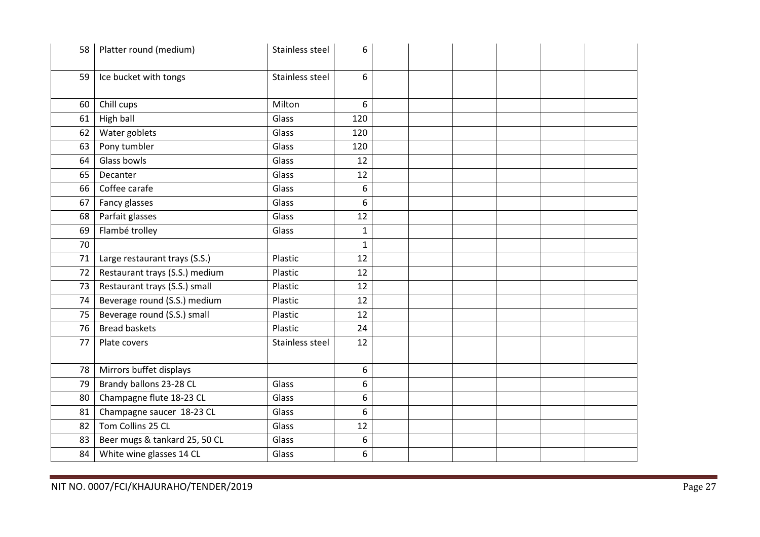| 58 | Platter round (medium)         | Stainless steel | 6            |  |  |  |
|----|--------------------------------|-----------------|--------------|--|--|--|
| 59 | Ice bucket with tongs          | Stainless steel | 6            |  |  |  |
|    |                                |                 |              |  |  |  |
| 60 | Chill cups                     | Milton          | 6            |  |  |  |
| 61 | High ball                      | Glass           | 120          |  |  |  |
| 62 | Water goblets                  | Glass           | 120          |  |  |  |
| 63 | Pony tumbler                   | Glass           | 120          |  |  |  |
| 64 | Glass bowls                    | Glass           | 12           |  |  |  |
| 65 | Decanter                       | Glass           | 12           |  |  |  |
| 66 | Coffee carafe                  | Glass           | 6            |  |  |  |
| 67 | Fancy glasses                  | Glass           | 6            |  |  |  |
| 68 | Parfait glasses                | Glass           | 12           |  |  |  |
| 69 | Flambé trolley                 | Glass           | $\mathbf{1}$ |  |  |  |
| 70 |                                |                 | $\mathbf{1}$ |  |  |  |
| 71 | Large restaurant trays (S.S.)  | Plastic         | 12           |  |  |  |
| 72 | Restaurant trays (S.S.) medium | Plastic         | 12           |  |  |  |
| 73 | Restaurant trays (S.S.) small  | Plastic         | 12           |  |  |  |
| 74 | Beverage round (S.S.) medium   | Plastic         | 12           |  |  |  |
| 75 | Beverage round (S.S.) small    | Plastic         | 12           |  |  |  |
| 76 | Bread baskets                  | Plastic         | 24           |  |  |  |
| 77 | Plate covers                   | Stainless steel | 12           |  |  |  |
|    |                                |                 |              |  |  |  |
| 78 | Mirrors buffet displays        |                 | 6            |  |  |  |
| 79 | Brandy ballons 23-28 CL        | Glass           | 6            |  |  |  |
| 80 | Champagne flute 18-23 CL       | Glass           | 6            |  |  |  |
| 81 | Champagne saucer 18-23 CL      | Glass           | 6            |  |  |  |
| 82 | Tom Collins 25 CL              | Glass           | 12           |  |  |  |
| 83 | Beer mugs & tankard 25, 50 CL  | Glass           | 6            |  |  |  |
| 84 | White wine glasses 14 CL       | Glass           | 6            |  |  |  |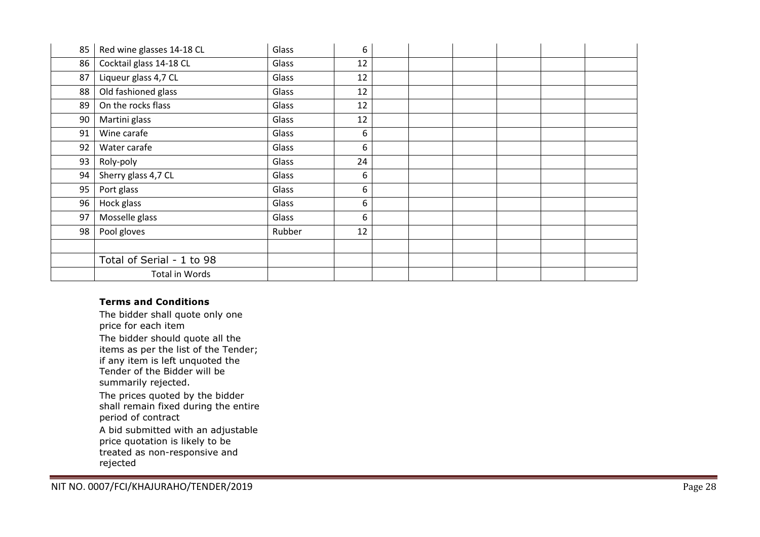| 85 | Red wine glasses 14-18 CL | Glass  | 6  |  |  |  |
|----|---------------------------|--------|----|--|--|--|
| 86 | Cocktail glass 14-18 CL   | Glass  | 12 |  |  |  |
| 87 | Liqueur glass 4,7 CL      | Glass  | 12 |  |  |  |
| 88 | Old fashioned glass       | Glass  | 12 |  |  |  |
| 89 | On the rocks flass        | Glass  | 12 |  |  |  |
| 90 | Martini glass             | Glass  | 12 |  |  |  |
| 91 | Wine carafe               | Glass  | 6  |  |  |  |
| 92 | Water carafe              | Glass  | 6  |  |  |  |
| 93 | Roly-poly                 | Glass  | 24 |  |  |  |
| 94 | Sherry glass 4,7 CL       | Glass  | 6  |  |  |  |
| 95 | Port glass                | Glass  | 6  |  |  |  |
| 96 | Hock glass                | Glass  | 6  |  |  |  |
| 97 | Mosselle glass            | Glass  | 6  |  |  |  |
| 98 | Pool gloves               | Rubber | 12 |  |  |  |
|    |                           |        |    |  |  |  |
|    | Total of Serial - 1 to 98 |        |    |  |  |  |
|    | Total in Words            |        |    |  |  |  |

#### Terms and Conditions

 The bidder shall quote only one price for each item The bidder should quote all the items as per the list of the Tender; if any item is left unquoted the Tender of the Bidder will be summarily rejected. The prices quoted by the bidder

 shall remain fixed during the entire period of contract

A bid submitted with an adjustable price quotation is likely to be treated as non-responsive and rejected